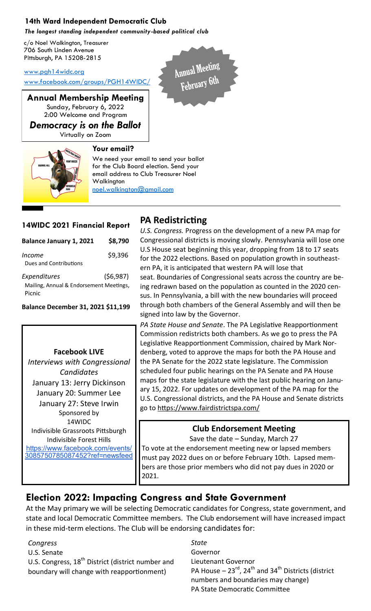### **14th Ward Independent Democratic Club**

*The longest standing independent community-based political club*

c/o Noel Walkington, Treasurer 706 South Linden Avenue Pittsburgh, PA 15208-2815

[www.pgh14widc.org](http://www.pgh14widc.org)

[www.facebook.com/groups/PGH14WIDC/](https://www.facebook.com/groups/PGH14WIDC/)

**Annual Membership Meeting** Sunday, February 6, 2022 2:00 Welcome and Program

*Democracy is on the Ballot* Virtually on Zoom

**Your email?**



We need your email to send your ballot for the Club Board election. Send your email address to Club Treasurer Noel Walkington noel.walkington@gmail.com

### **14WIDC 2021 Financial Report**

| <b>Balance January 1, 2021</b>                                    | \$8,790  |
|-------------------------------------------------------------------|----------|
| <i>Income</i><br>Dues and Contributions                           | \$9,396  |
| Expenditures<br>Mailing, Annual & Endorsement Meetings,<br>Picnic | (56,987) |

**Balance December 31, 2021 \$11,199** 

#### **Facebook LIVE**

*Interviews with Congressional Candidates* January 13: Jerry Dickinson January 20: Summer Lee January 27: Steve Irwin Sponsored by 14WIDC Indivisible Grassroots Pittsburgh Indivisible Forest Hills [https://www.facebook.com/events/](https://www.facebook.com/events/3085750785087452?ref=newsfeed) [3085750785087452?ref=newsfeed](https://www.facebook.com/events/3085750785087452?ref=newsfeed)

# **PA Redistricting**

Annual Meeting

*U.S. Congress.* Progress on the development of a new PA map for Congressional districts is moving slowly. Pennsylvania will lose one U.S House seat beginning this year, dropping from 18 to 17 seats for the 2022 elections. Based on population growth in southeastern PA, it is anticipated that western PA will lose that seat. Boundaries of Congressional seats across the country are being redrawn based on the population as counted in the 2020 census. In Pennsylvania, a bill with the new boundaries will proceed through both chambers of the General Assembly and will then be signed into law by the Governor.

*PA State House and Senate*. The PA Legislative Reapportionment Commission redistricts both chambers. As we go to press the PA Legislative Reapportionment Commission, chaired by Mark Nordenberg, voted to approve the maps for both the PA House and the PA Senate for the 2022 state legislature. The Commission scheduled four public hearings on the PA Senate and PA House maps for the state legislature with the last public hearing on January 15, 2022. For updates on development of the PA map for the U.S. Congressional districts, and the PA House and Senate districts go to <https://www.fairdistrictspa.com/>

### **Club Endorsement Meeting**

Save the date – Sunday, March 27

To vote at the endorsement meeting new or lapsed members must pay 2022 dues on or before February 10th. Lapsed members are those prior members who did not pay dues in 2020 or 2021.

## **Election 2022: Impacting Congress and State Government**

At the May primary we will be selecting Democratic candidates for Congress, state government, and state and local Democratic Committee members. The Club endorsement will have increased impact in these mid-term elections. The Club will be endorsing candidates for:

#### *Congress*

U.S. Senate U.S. Congress,  $18<sup>th</sup>$  District (district number and boundary will change with reapportionment)

*State* Governor Lieutenant Governor PA House  $-23^{rd}$ , 24<sup>th</sup> and 34<sup>th</sup> Districts (district numbers and boundaries may change) PA State Democratic Committee